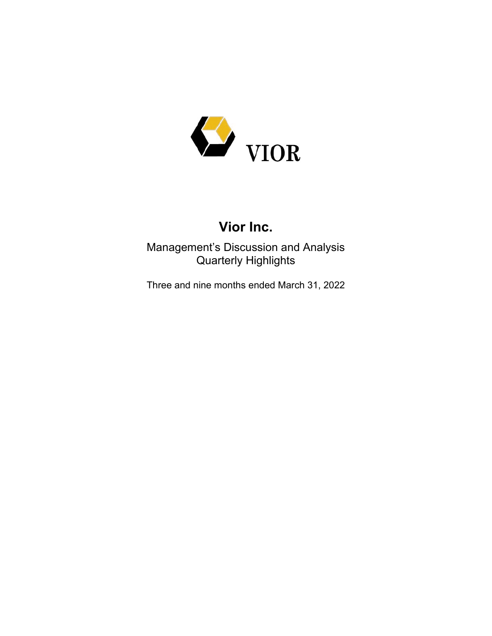

# **Vior Inc.**

Management's Discussion and Analysis Quarterly Highlights

Three and nine months ended March 31, 2022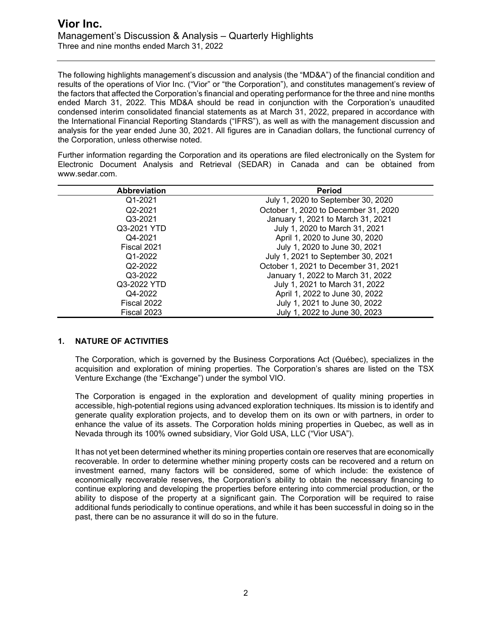The following highlights management's discussion and analysis (the "MD&A") of the financial condition and results of the operations of Vior Inc. ("Vior" or "the Corporation"), and constitutes management's review of the factors that affected the Corporation's financial and operating performance for the three and nine months ended March 31, 2022. This MD&A should be read in conjunction with the Corporation's unaudited condensed interim consolidated financial statements as at March 31, 2022, prepared in accordance with the International Financial Reporting Standards ("IFRS"), as well as with the management discussion and analysis for the year ended June 30, 2021. All figures are in Canadian dollars, the functional currency of the Corporation, unless otherwise noted.

Further information regarding the Corporation and its operations are filed electronically on the System for Electronic Document Analysis and Retrieval (SEDAR) in Canada and can be obtained from www.sedar.com.

| <b>Abbreviation</b> | <b>Period</b>                        |
|---------------------|--------------------------------------|
| Q1-2021             | July 1, 2020 to September 30, 2020   |
| Q2-2021             | October 1, 2020 to December 31, 2020 |
| Q3-2021             | January 1, 2021 to March 31, 2021    |
| Q3-2021 YTD         | July 1, 2020 to March 31, 2021       |
| Q4-2021             | April 1, 2020 to June 30, 2020       |
| Fiscal 2021         | July 1, 2020 to June 30, 2021        |
| Q1-2022             | July 1, 2021 to September 30, 2021   |
| Q2-2022             | October 1, 2021 to December 31, 2021 |
| Q3-2022             | January 1, 2022 to March 31, 2022    |
| Q3-2022 YTD         | July 1, 2021 to March 31, 2022       |
| Q4-2022             | April 1, 2022 to June 30, 2022       |
| Fiscal 2022         | July 1, 2021 to June 30, 2022        |
| Fiscal 2023         | July 1, 2022 to June 30, 2023        |

#### **1. NATURE OF ACTIVITIES**

The Corporation, which is governed by the Business Corporations Act (Québec), specializes in the acquisition and exploration of mining properties. The Corporation's shares are listed on the TSX Venture Exchange (the "Exchange") under the symbol VIO.

The Corporation is engaged in the exploration and development of quality mining properties in accessible, high-potential regions using advanced exploration techniques. Its mission is to identify and generate quality exploration projects, and to develop them on its own or with partners, in order to enhance the value of its assets. The Corporation holds mining properties in Quebec, as well as in Nevada through its 100% owned subsidiary, Vior Gold USA, LLC ("Vior USA").

It has not yet been determined whether its mining properties contain ore reserves that are economically recoverable. In order to determine whether mining property costs can be recovered and a return on investment earned, many factors will be considered, some of which include: the existence of economically recoverable reserves, the Corporation's ability to obtain the necessary financing to continue exploring and developing the properties before entering into commercial production, or the ability to dispose of the property at a significant gain. The Corporation will be required to raise additional funds periodically to continue operations, and while it has been successful in doing so in the past, there can be no assurance it will do so in the future.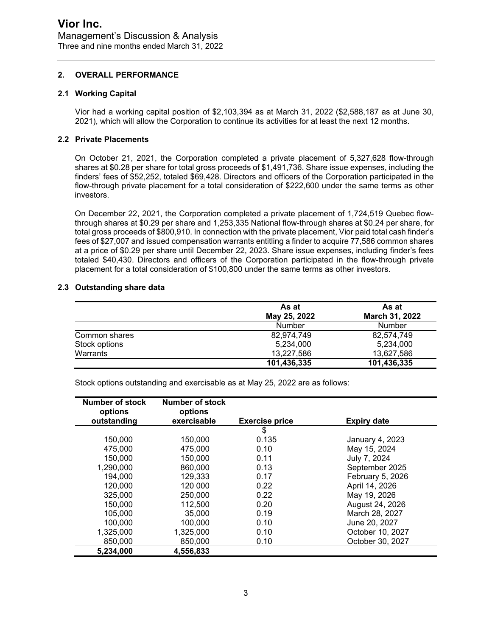#### **2. OVERALL PERFORMANCE**

#### **2.1 Working Capital**

Vior had a working capital position of \$2,103,394 as at March 31, 2022 (\$2,588,187 as at June 30, 2021), which will allow the Corporation to continue its activities for at least the next 12 months.

#### **2.2 Private Placements**

On October 21, 2021, the Corporation completed a private placement of 5,327,628 flow-through shares at \$0.28 per share for total gross proceeds of \$1,491,736. Share issue expenses, including the finders' fees of \$52,252, totaled \$69,428. Directors and officers of the Corporation participated in the flow-through private placement for a total consideration of \$222,600 under the same terms as other investors.

On December 22, 2021, the Corporation completed a private placement of 1,724,519 Quebec flowthrough shares at \$0.29 per share and 1,253,335 National flow-through shares at \$0.24 per share, for total gross proceeds of \$800,910. In connection with the private placement, Vior paid total cash finder's fees of \$27,007 and issued compensation warrants entitling a finder to acquire 77,586 common shares at a price of \$0.29 per share until December 22, 2023. Share issue expenses, including finder's fees totaled \$40,430. Directors and officers of the Corporation participated in the flow-through private placement for a total consideration of \$100,800 under the same terms as other investors.

#### **2.3 Outstanding share data**

|               | As at         | As at          |  |
|---------------|---------------|----------------|--|
|               | May 25, 2022  | March 31, 2022 |  |
|               | <b>Number</b> | <b>Number</b>  |  |
| Common shares | 82,974,749    | 82.574.749     |  |
| Stock options | 5,234,000     | 5,234,000      |  |
| Warrants      | 13,227,586    | 13.627.586     |  |
|               | 101,436,335   | 101,436,335    |  |

Stock options outstanding and exercisable as at May 25, 2022 are as follows:

| Number of stock<br>options | Number of stock<br>options |                       |                    |
|----------------------------|----------------------------|-----------------------|--------------------|
| outstanding                | exercisable                | <b>Exercise price</b> | <b>Expiry date</b> |
|                            |                            | \$                    |                    |
| 150,000                    | 150,000                    | 0.135                 | January 4, 2023    |
| 475,000                    | 475,000                    | 0.10                  | May 15, 2024       |
| 150,000                    | 150,000                    | 0.11                  | July 7, 2024       |
| 1,290,000                  | 860,000                    | 0.13                  | September 2025     |
| 194,000                    | 129,333                    | 0.17                  | February 5, 2026   |
| 120,000                    | 120 000                    | 0.22                  | April 14, 2026     |
| 325,000                    | 250,000                    | 0.22                  | May 19, 2026       |
| 150,000                    | 112,500                    | 0.20                  | August 24, 2026    |
| 105,000                    | 35,000                     | 0.19                  | March 28, 2027     |
| 100,000                    | 100,000                    | 0.10                  | June 20, 2027      |
| 1,325,000                  | 1,325,000                  | 0.10                  | October 10, 2027   |
| 850,000                    | 850,000                    | 0.10                  | October 30, 2027   |
| 5,234,000                  | 4,556,833                  |                       |                    |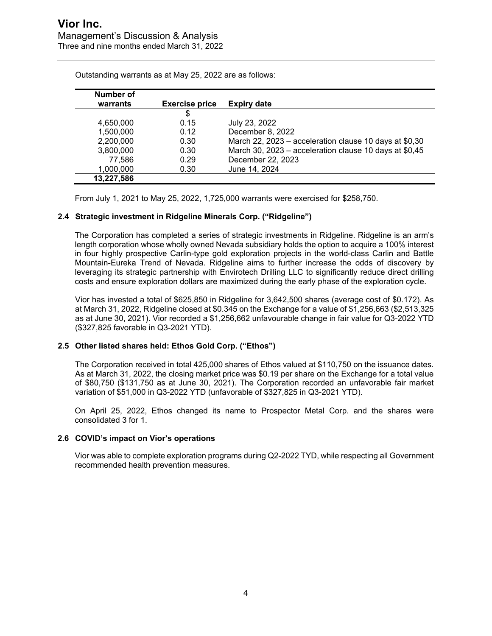| Number of  |                       |                                                         |
|------------|-----------------------|---------------------------------------------------------|
| warrants   | <b>Exercise price</b> | <b>Expiry date</b>                                      |
|            | \$                    |                                                         |
| 4,650,000  | 0.15                  | July 23, 2022                                           |
| 1,500,000  | 0.12                  | December 8, 2022                                        |
| 2,200,000  | 0.30                  | March 22, 2023 – acceleration clause 10 days at $$0,30$ |
| 3,800,000  | 0.30                  | March 30, 2023 – acceleration clause 10 days at \$0,45  |
| 77,586     | 0.29                  | December 22, 2023                                       |
| 1,000,000  | 0.30                  | June 14, 2024                                           |
| 13,227,586 |                       |                                                         |

Outstanding warrants as at May 25, 2022 are as follows:

From July 1, 2021 to May 25, 2022, 1,725,000 warrants were exercised for \$258,750.

#### **2.4 Strategic investment in Ridgeline Minerals Corp. ("Ridgeline")**

The Corporation has completed a series of strategic investments in Ridgeline. Ridgeline is an arm's length corporation whose wholly owned Nevada subsidiary holds the option to acquire a 100% interest in four highly prospective Carlin-type gold exploration projects in the world-class Carlin and Battle Mountain-Eureka Trend of Nevada. Ridgeline aims to further increase the odds of discovery by leveraging its strategic partnership with Envirotech Drilling LLC to significantly reduce direct drilling costs and ensure exploration dollars are maximized during the early phase of the exploration cycle.

Vior has invested a total of \$625,850 in Ridgeline for 3,642,500 shares (average cost of \$0.172). As at March 31, 2022, Ridgeline closed at \$0.345 on the Exchange for a value of \$1,256,663 (\$2,513,325 as at June 30, 2021). Vior recorded a \$1,256,662 unfavourable change in fair value for Q3-2022 YTD (\$327,825 favorable in Q3-2021 YTD).

#### **2.5 Other listed shares held: Ethos Gold Corp. ("Ethos")**

The Corporation received in total 425,000 shares of Ethos valued at \$110,750 on the issuance dates. As at March 31, 2022, the closing market price was \$0.19 per share on the Exchange for a total value of \$80,750 (\$131,750 as at June 30, 2021). The Corporation recorded an unfavorable fair market variation of \$51,000 in Q3-2022 YTD (unfavorable of \$327,825 in Q3-2021 YTD).

On April 25, 2022, Ethos changed its name to Prospector Metal Corp. and the shares were consolidated 3 for 1.

#### **2.6 COVID's impact on Vior's operations**

Vior was able to complete exploration programs during Q2-2022 TYD, while respecting all Government recommended health prevention measures.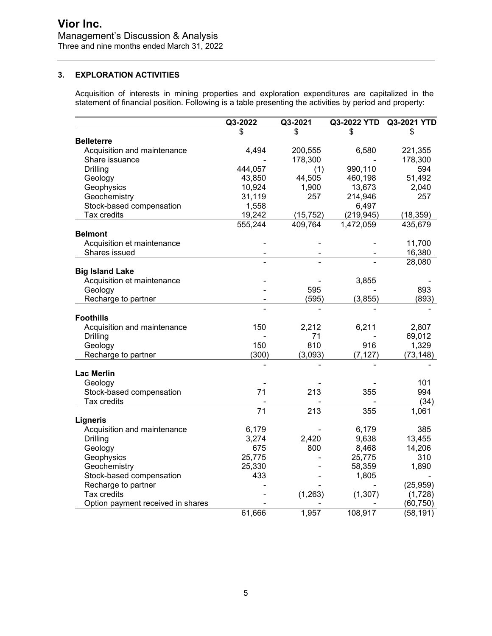#### **3. EXPLORATION ACTIVITIES**

Acquisition of interests in mining properties and exploration expenditures are capitalized in the statement of financial position. Following is a table presenting the activities by period and property:

|                                   | Q3-2022         | Q3-2021          | Q3-2022 YTD | Q3-2021 YTD |
|-----------------------------------|-----------------|------------------|-------------|-------------|
|                                   | \$              | \$               | \$          | \$          |
| <b>Belleterre</b>                 |                 |                  |             |             |
| Acquisition and maintenance       | 4,494           | 200,555          | 6,580       | 221,355     |
| Share issuance                    |                 | 178,300          |             | 178,300     |
| Drilling                          | 444,057         | (1)              | 990,110     | 594         |
| Geology                           | 43,850          | 44,505           | 460,198     | 51,492      |
| Geophysics                        | 10,924          | 1,900            | 13,673      | 2,040       |
| Geochemistry                      | 31,119          | 257              | 214,946     | 257         |
| Stock-based compensation          | 1,558           |                  | 6,497       |             |
| Tax credits                       | 19,242          | (15, 752)        | (219, 945)  | (18, 359)   |
|                                   | 555,244         | 409,764          | 1,472,059   | 435,679     |
| <b>Belmont</b>                    |                 |                  |             |             |
| Acquisition et maintenance        |                 |                  |             | 11,700      |
| Shares issued                     |                 |                  |             | 16,380      |
|                                   |                 |                  |             | 28,080      |
| <b>Big Island Lake</b>            |                 |                  |             |             |
| Acquisition et maintenance        |                 |                  | 3,855       |             |
| Geology                           |                 | 595              |             | 893         |
| Recharge to partner               |                 | (595)            | (3, 855)    | (893)       |
|                                   |                 |                  |             |             |
| <b>Foothills</b>                  |                 |                  |             |             |
| Acquisition and maintenance       | 150             | 2,212            | 6,211       | 2,807       |
| <b>Drilling</b>                   |                 | 71               |             | 69,012      |
| Geology                           | 150             | 810              | 916         | 1,329       |
| Recharge to partner               | (300)           | (3,093)          | (7, 127)    | (73, 148)   |
|                                   |                 |                  |             |             |
| <b>Lac Merlin</b>                 |                 |                  |             |             |
| Geology                           |                 |                  |             | 101         |
| Stock-based compensation          | 71              | 213              | 355         | 994         |
| Tax credits                       |                 |                  |             | (34)        |
|                                   | $\overline{71}$ | $\overline{213}$ | 355         | 1,061       |
| <b>Ligneris</b>                   |                 |                  |             |             |
| Acquisition and maintenance       | 6,179           |                  | 6,179       | 385         |
| <b>Drilling</b>                   | 3,274           | 2,420            | 9,638       | 13,455      |
| Geology                           | 675             | 800              | 8,468       | 14,206      |
| Geophysics                        | 25,775          |                  | 25,775      | 310         |
| Geochemistry                      | 25,330          |                  | 58,359      | 1,890       |
| Stock-based compensation          | 433             |                  | 1,805       |             |
| Recharge to partner               |                 |                  |             | (25, 959)   |
| Tax credits                       |                 | (1,263)          | (1, 307)    | (1,728)     |
| Option payment received in shares |                 |                  |             | (60, 750)   |
|                                   | 61,666          | 1,957            | 108,917     | (58, 191)   |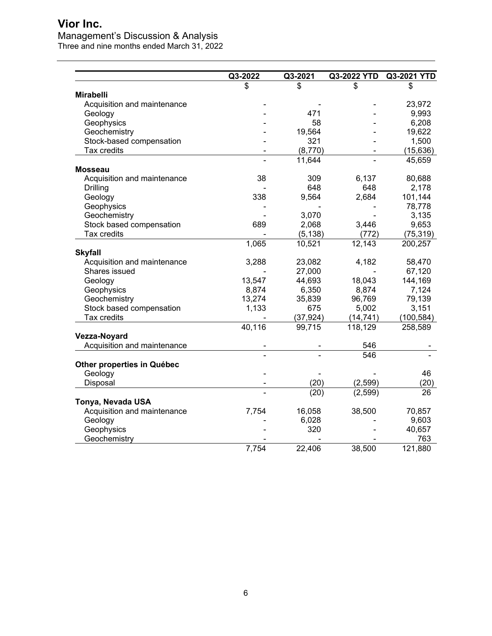## **Vior Inc.**

## Management's Discussion & Analysis

Three and nine months ended March 31, 2022

|                             | Q3-2022 | Q3-2021   | Q3-2022 YTD | Q3-2021 YTD |
|-----------------------------|---------|-----------|-------------|-------------|
|                             | \$      | \$        | \$          | \$          |
| <b>Mirabelli</b>            |         |           |             |             |
| Acquisition and maintenance |         |           |             | 23,972      |
| Geology                     |         | 471       |             | 9,993       |
| Geophysics                  |         | 58        |             | 6,208       |
| Geochemistry                |         | 19,564    |             | 19,622      |
| Stock-based compensation    |         | 321       |             | 1,500       |
| Tax credits                 |         | (8,770)   |             | (15, 636)   |
|                             |         | 11,644    |             | 45,659      |
| <b>Mosseau</b>              |         |           |             |             |
| Acquisition and maintenance | 38      | 309       | 6,137       | 80,688      |
| Drilling                    |         | 648       | 648         | 2,178       |
| Geology                     | 338     | 9,564     | 2,684       | 101,144     |
| Geophysics                  |         |           |             | 78,778      |
| Geochemistry                |         | 3,070     |             | 3,135       |
| Stock based compensation    | 689     | 2,068     | 3,446       | 9,653       |
| Tax credits                 |         | (5, 138)  | (772)       | (75, 319)   |
|                             | 1,065   | 10,521    | 12,143      | 200,257     |
| <b>Skyfall</b>              |         |           |             |             |
| Acquisition and maintenance | 3,288   | 23,082    | 4,182       | 58,470      |
| Shares issued               |         | 27,000    |             | 67,120      |
| Geology                     | 13,547  | 44,693    | 18,043      | 144,169     |
| Geophysics                  | 8,874   | 6,350     | 8,874       | 7,124       |
| Geochemistry                | 13,274  | 35,839    | 96,769      | 79,139      |
| Stock based compensation    | 1,133   | 675       | 5,002       | 3,151       |
| Tax credits                 |         | (37, 924) | (14, 741)   | (100, 584)  |
|                             | 40,116  | 99,715    | 118,129     | 258,589     |
| Vezza-Noyard                |         |           |             |             |
| Acquisition and maintenance |         |           | 546         |             |
|                             |         |           | 546         |             |
| Other properties in Québec  |         |           |             |             |
| Geology                     |         |           |             | 46          |
| Disposal                    |         | (20)      | (2,599)     | (20)        |
|                             |         | (20)      | (2, 599)    | 26          |
| Tonya, Nevada USA           |         |           |             |             |
| Acquisition and maintenance | 7,754   | 16,058    | 38,500      | 70,857      |
| Geology                     |         | 6,028     |             | 9,603       |
| Geophysics                  |         | 320       |             | 40,657      |
| Geochemistry                |         |           |             | 763         |
|                             | 7,754   | 22,406    | 38,500      | 121,880     |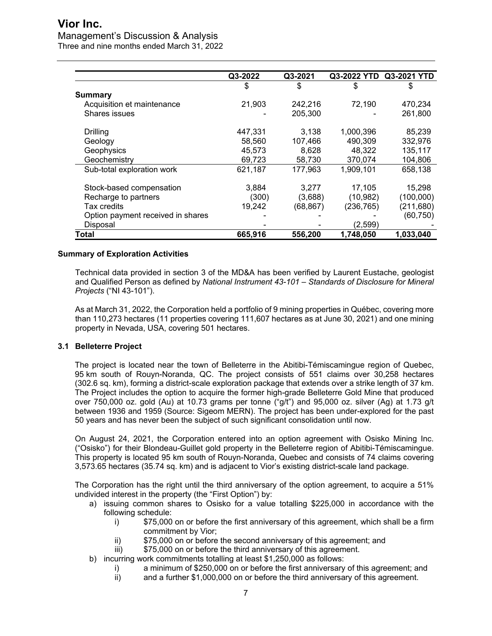## **Vior Inc.**

## Management's Discussion & Analysis

Three and nine months ended March 31, 2022

|                                   | Q3-2022 | Q3-2021  | Q3-2022 YTD | Q3-2021 YTD |
|-----------------------------------|---------|----------|-------------|-------------|
|                                   | \$      | \$       | \$          | \$          |
| Summary                           |         |          |             |             |
| Acquisition et maintenance        | 21,903  | 242,216  | 72,190      | 470,234     |
| Shares issues                     |         | 205,300  |             | 261,800     |
| Drilling                          | 447,331 | 3,138    | 1,000,396   | 85,239      |
| Geology                           | 58,560  | 107,466  | 490,309     | 332,976     |
| Geophysics                        | 45,573  | 8,628    | 48,322      | 135,117     |
| Geochemistry                      | 69,723  | 58,730   | 370,074     | 104,806     |
| Sub-total exploration work        | 621,187 | 177,963  | 1,909,101   | 658,138     |
| Stock-based compensation          | 3,884   | 3,277    | 17,105      | 15,298      |
| Recharge to partners              | (300)   | (3,688)  | (10, 982)   | (100,000)   |
| Tax credits                       | 19,242  | (68,867) | (236, 765)  | (211, 680)  |
| Option payment received in shares |         |          |             | (60, 750)   |
| Disposal                          |         |          | (2,599)     |             |
| Total                             | 665,916 | 556,200  | 1.748.050   | 1,033,040   |

#### **Summary of Exploration Activities**

Technical data provided in section 3 of the MD&A has been verified by Laurent Eustache, geologist and Qualified Person as defined by *National Instrument 43-101 – Standards of Disclosure for Mineral Projects* ("NI 43-101").

As at March 31, 2022, the Corporation held a portfolio of 9 mining properties in Québec, covering more than 110,273 hectares (11 properties covering 111,607 hectares as at June 30, 2021) and one mining property in Nevada, USA, covering 501 hectares.

#### **3.1 Belleterre Project**

The project is located near the town of Belleterre in the Abitibi-Témiscamingue region of Quebec, 95 km south of Rouyn-Noranda, QC. The project consists of 551 claims over 30,258 hectares (302.6 sq. km), forming a district-scale exploration package that extends over a strike length of 37 km. The Project includes the option to acquire the former high-grade Belleterre Gold Mine that produced over 750,000 oz. gold (Au) at 10.73 grams per tonne ("g/t") and 95,000 oz. silver (Ag) at 1.73 g/t between 1936 and 1959 (Source: Sigeom MERN). The project has been under-explored for the past 50 years and has never been the subject of such significant consolidation until now.

On August 24, 2021, the Corporation entered into an option agreement with Osisko Mining Inc. ("Osisko") for their Blondeau-Guillet gold property in the Belleterre region of Abitibi-Témiscamingue. This property is located 95 km south of Rouyn-Noranda, Quebec and consists of 74 claims covering 3,573.65 hectares (35.74 sq. km) and is adjacent to Vior's existing district-scale land package.

The Corporation has the right until the third anniversary of the option agreement, to acquire a 51% undivided interest in the property (the "First Option") by:

- a) issuing common shares to Osisko for a value totalling \$225,000 in accordance with the following schedule:
	- i) \$75,000 on or before the first anniversary of this agreement, which shall be a firm commitment by Vior;
	- ii) \$75,000 on or before the second anniversary of this agreement; and
	- iii)  $$75,000$  on or before the third anniversary of this agreement.
- b) incurring work commitments totalling at least \$1,250,000 as follows:
	- i) a minimum of \$250,000 on or before the first anniversary of this agreement; and<br>ii) and a further \$1,000,000 on or before the third anniversary of this agreement.
		- and a further \$1,000,000 on or before the third anniversary of this agreement.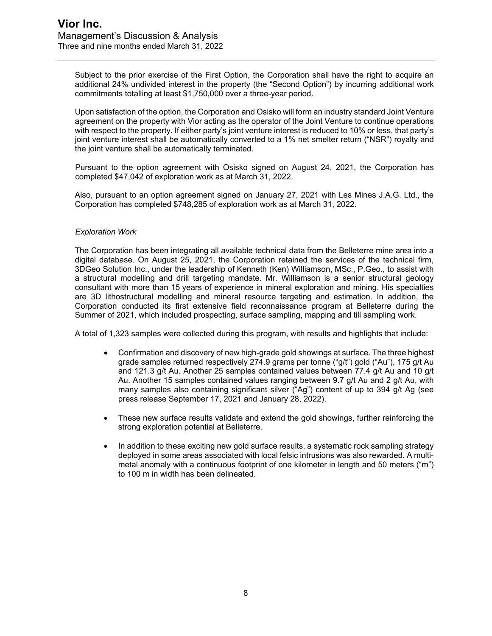Subject to the prior exercise of the First Option, the Corporation shall have the right to acquire an additional 24% undivided interest in the property (the "Second Option") by incurring additional work commitments totalling at least \$1,750,000 over a three-year period.

Upon satisfaction of the option, the Corporation and Osisko will form an industry standard Joint Venture agreement on the property with Vior acting as the operator of the Joint Venture to continue operations with respect to the property. If either party's joint venture interest is reduced to 10% or less, that party's joint venture interest shall be automatically converted to a 1% net smelter return ("NSR") royalty and the joint venture shall be automatically terminated.

Pursuant to the option agreement with Osisko signed on August 24, 2021, the Corporation has completed \$47,042 of exploration work as at March 31, 2022.

Also, pursuant to an option agreement signed on January 27, 2021 with Les Mines J.A.G. Ltd., the Corporation has completed \$748,285 of exploration work as at March 31, 2022.

#### *Exploration Work*

The Corporation has been integrating all available technical data from the Belleterre mine area into a digital database. On August 25, 2021, the Corporation retained the services of the technical firm, 3DGeo Solution Inc., under the leadership of Kenneth (Ken) Williamson, MSc., P.Geo., to assist with a structural modelling and drill targeting mandate. Mr. Williamson is a senior structural geology consultant with more than 15 years of experience in mineral exploration and mining. His specialties are 3D lithostructural modelling and mineral resource targeting and estimation. In addition, the Corporation conducted its first extensive field reconnaissance program at Belleterre during the Summer of 2021, which included prospecting, surface sampling, mapping and till sampling work.

A total of 1,323 samples were collected during this program, with results and highlights that include:

- Confirmation and discovery of new high-grade gold showings at surface. The three highest grade samples returned respectively 274.9 grams per tonne ("g/t") gold ("Au"), 175 g/t Au and 121.3 g/t Au. Another 25 samples contained values between 77.4 g/t Au and 10 g/t Au. Another 15 samples contained values ranging between 9.7 g/t Au and 2 g/t Au, with many samples also containing significant silver ("Ag") content of up to 394 g/t Ag (see press release September 17, 2021 and January 28, 2022).
- These new surface results validate and extend the gold showings, further reinforcing the strong exploration potential at Belleterre.
- In addition to these exciting new gold surface results, a systematic rock sampling strategy deployed in some areas associated with local felsic intrusions was also rewarded. A multimetal anomaly with a continuous footprint of one kilometer in length and 50 meters ("m") to 100 m in width has been delineated.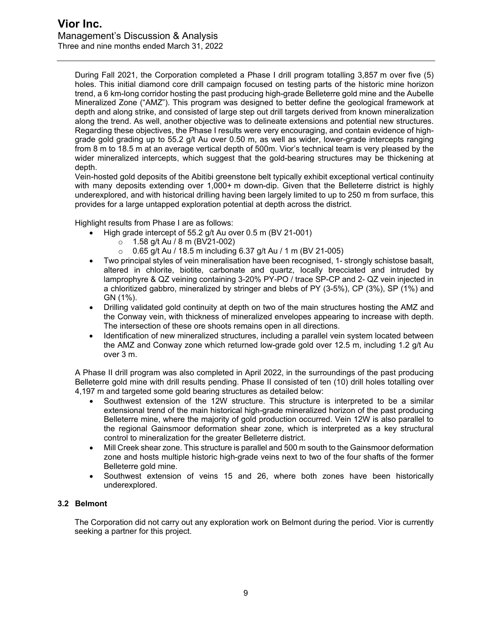During Fall 2021, the Corporation completed a Phase I drill program totalling 3,857 m over five (5) holes. This initial diamond core drill campaign focused on testing parts of the historic mine horizon trend, a 6 km-long corridor hosting the past producing high-grade Belleterre gold mine and the Aubelle Mineralized Zone ("AMZ"). This program was designed to better define the geological framework at depth and along strike, and consisted of large step out drill targets derived from known mineralization along the trend. As well, another objective was to delineate extensions and potential new structures. Regarding these objectives, the Phase I results were very encouraging, and contain evidence of highgrade gold grading up to 55.2 g/t Au over 0.50 m, as well as wider, lower-grade intercepts ranging from 8 m to 18.5 m at an average vertical depth of 500m. Vior's technical team is very pleased by the wider mineralized intercepts, which suggest that the gold-bearing structures may be thickening at depth.

Vein-hosted gold deposits of the Abitibi greenstone belt typically exhibit exceptional vertical continuity with many deposits extending over 1,000+ m down-dip. Given that the Belleterre district is highly underexplored, and with historical drilling having been largely limited to up to 250 m from surface, this provides for a large untapped exploration potential at depth across the district.

Highlight results from Phase I are as follows:

- High grade intercept of 55.2 g/t Au over 0.5 m (BV 21-001)
	- $\circ$  1.58 g/t Au / 8 m (BV21-002)<br>⊙ 0.65 g/t Au / 18.5 m including
	- o 0.65 g/t Au / 18.5 m including 6.37 g/t Au / 1 m (BV 21-005)
- Two principal styles of vein mineralisation have been recognised, 1- strongly schistose basalt, altered in chlorite, biotite, carbonate and quartz, locally brecciated and intruded by lamprophyre & QZ veining containing 3-20% PY-PO / trace SP-CP and 2- QZ vein injected in a chloritized gabbro, mineralized by stringer and blebs of PY (3-5%), CP (3%), SP (1%) and GN (1%).
- Drilling validated gold continuity at depth on two of the main structures hosting the AMZ and the Conway vein, with thickness of mineralized envelopes appearing to increase with depth. The intersection of these ore shoots remains open in all directions.
- Identification of new mineralized structures, including a parallel vein system located between the AMZ and Conway zone which returned low-grade gold over 12.5 m, including 1.2 g/t Au over 3 m.

A Phase II drill program was also completed in April 2022, in the surroundings of the past producing Belleterre gold mine with drill results pending. Phase II consisted of ten (10) drill holes totalling over 4,197 m and targeted some gold bearing structures as detailed below:

- Southwest extension of the 12W structure. This structure is interpreted to be a similar extensional trend of the main historical high-grade mineralized horizon of the past producing Belleterre mine, where the majority of gold production occurred. Vein 12W is also parallel to the regional Gainsmoor deformation shear zone, which is interpreted as a key structural control to mineralization for the greater Belleterre district.
- Mill Creek shear zone. This structure is parallel and 500 m south to the Gainsmoor deformation zone and hosts multiple historic high-grade veins next to two of the four shafts of the former Belleterre gold mine.
- Southwest extension of veins 15 and 26, where both zones have been historically underexplored.

#### **3.2 Belmont**

The Corporation did not carry out any exploration work on Belmont during the period. Vior is currently seeking a partner for this project.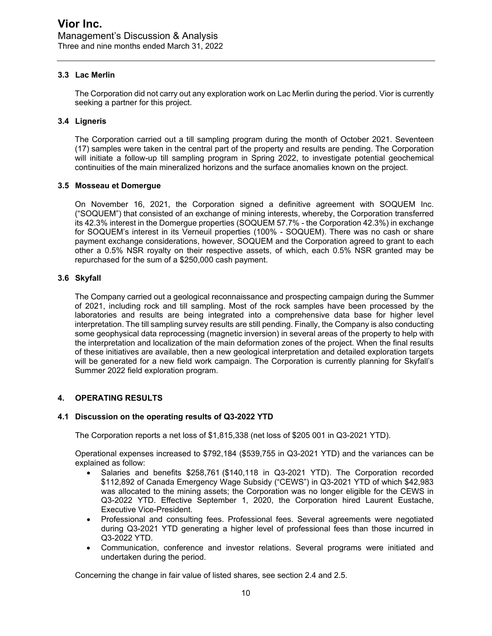#### **3.3 Lac Merlin**

The Corporation did not carry out any exploration work on Lac Merlin during the period. Vior is currently seeking a partner for this project.

#### **3.4 Ligneris**

The Corporation carried out a till sampling program during the month of October 2021. Seventeen (17) samples were taken in the central part of the property and results are pending. The Corporation will initiate a follow-up till sampling program in Spring 2022, to investigate potential geochemical continuities of the main mineralized horizons and the surface anomalies known on the project.

#### **3.5 Mosseau et Domergue**

On November 16, 2021, the Corporation signed a definitive agreement with SOQUEM Inc. ("SOQUEM") that consisted of an exchange of mining interests, whereby, the Corporation transferred its 42.3% interest in the Domergue properties (SOQUEM 57.7% - the Corporation 42.3%) in exchange for SOQUEM's interest in its Verneuil properties (100% - SOQUEM). There was no cash or share payment exchange considerations, however, SOQUEM and the Corporation agreed to grant to each other a 0.5% NSR royalty on their respective assets, of which, each 0.5% NSR granted may be repurchased for the sum of a \$250,000 cash payment.

#### **3.6 Skyfall**

The Company carried out a geological reconnaissance and prospecting campaign during the Summer of 2021, including rock and till sampling. Most of the rock samples have been processed by the laboratories and results are being integrated into a comprehensive data base for higher level interpretation. The till sampling survey results are still pending. Finally, the Company is also conducting some geophysical data reprocessing (magnetic inversion) in several areas of the property to help with the interpretation and localization of the main deformation zones of the project. When the final results of these initiatives are available, then a new geological interpretation and detailed exploration targets will be generated for a new field work campaign. The Corporation is currently planning for Skyfall's Summer 2022 field exploration program.

#### **4. OPERATING RESULTS**

#### **4.1 Discussion on the operating results of Q3-2022 YTD**

The Corporation reports a net loss of \$1,815,338 (net loss of \$205 001 in Q3-2021 YTD).

Operational expenses increased to \$792,184 (\$539,755 in Q3-2021 YTD) and the variances can be explained as follow:

- Salaries and benefits \$258,761 (\$140,118 in Q3-2021 YTD). The Corporation recorded \$112,892 of Canada Emergency Wage Subsidy ("CEWS") in Q3-2021 YTD of which \$42,983 was allocated to the mining assets; the Corporation was no longer eligible for the CEWS in Q3-2022 YTD. Effective September 1, 2020, the Corporation hired Laurent Eustache, Executive Vice-President.
- Professional and consulting fees. Professional fees. Several agreements were negotiated during Q3-2021 YTD generating a higher level of professional fees than those incurred in Q3-2022 YTD.
- Communication, conference and investor relations. Several programs were initiated and undertaken during the period.

Concerning the change in fair value of listed shares, see section 2.4 and 2.5.